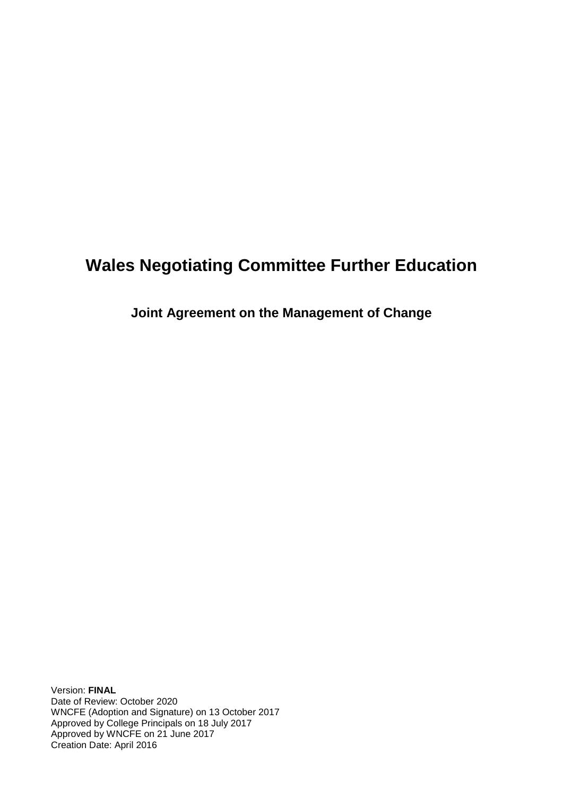# **Wales Negotiating Committee Further Education**

**Joint Agreement on the Management of Change**

Version: **FINAL**  Date of Review: October 2020 WNCFE (Adoption and Signature) on 13 October 2017 Approved by College Principals on 18 July 2017 Approved by WNCFE on 21 June 2017 Creation Date: April 2016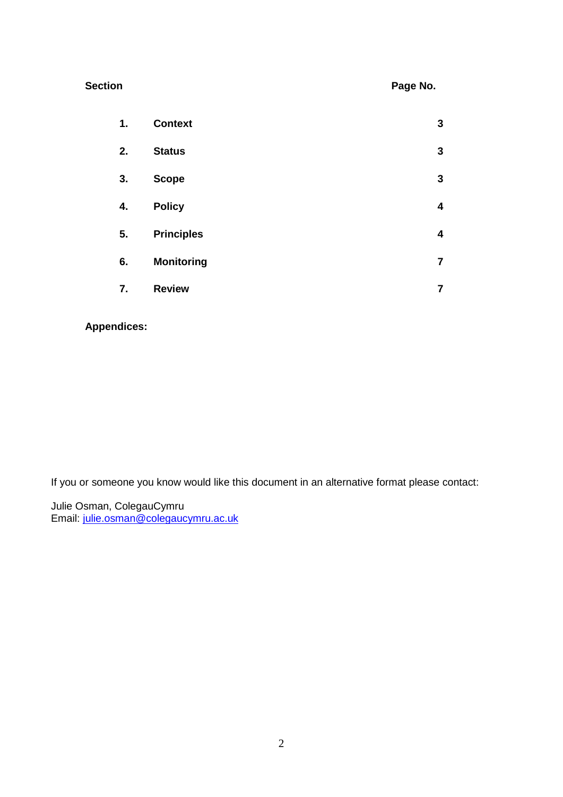| <b>Section</b> | Page No. |
|----------------|----------|
|                |          |

| 1. | <b>Context</b>    | 3                       |
|----|-------------------|-------------------------|
| 2. | <b>Status</b>     | $\mathbf{3}$            |
| 3. | <b>Scope</b>      | $\mathbf{3}$            |
| 4. | <b>Policy</b>     | $\overline{\mathbf{4}}$ |
| 5. | <b>Principles</b> | 4                       |
| 6. | <b>Monitoring</b> | $\overline{\mathbf{7}}$ |
| 7. | <b>Review</b>     | $\overline{7}$          |

## **Appendices:**

If you or someone you know would like this document in an alternative format please contact:

Julie Osman, ColegauCymru Email: [julie.osman@colegaucymru.ac.uk](mailto:julie.osman@colegaucymru.ac.uk)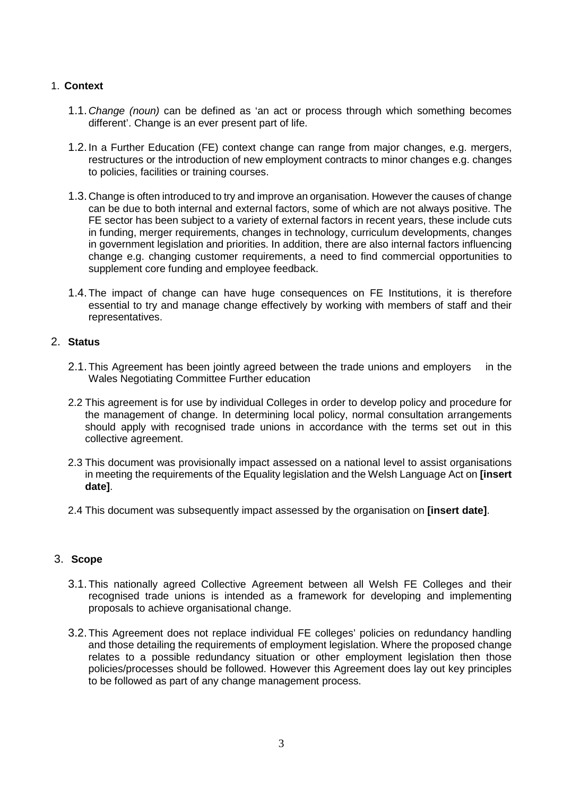#### 1. **Context**

- 1.1.*Change (noun)* can be defined as 'an act or process through which something becomes different'. Change is an ever present part of life.
- 1.2.In a Further Education (FE) context change can range from major changes, e.g. mergers, restructures or the introduction of new employment contracts to minor changes e.g. changes to policies, facilities or training courses.
- 1.3.Change is often introduced to try and improve an organisation. However the causes of change can be due to both internal and external factors, some of which are not always positive. The FE sector has been subject to a variety of external factors in recent years, these include cuts in funding, merger requirements, changes in technology, curriculum developments, changes in government legislation and priorities. In addition, there are also internal factors influencing change e.g. changing customer requirements, a need to find commercial opportunities to supplement core funding and employee feedback.
- 1.4.The impact of change can have huge consequences on FE Institutions, it is therefore essential to try and manage change effectively by working with members of staff and their representatives.

#### 2. **Status**

- 2.1.This Agreement has been jointly agreed between the trade unions and employers in the Wales Negotiating Committee Further education
- 2.2 This agreement is for use by individual Colleges in order to develop policy and procedure for the management of change. In determining local policy, normal consultation arrangements should apply with recognised trade unions in accordance with the terms set out in this collective agreement.
- 2.3 This document was provisionally impact assessed on a national level to assist organisations in meeting the requirements of the Equality legislation and the Welsh Language Act on **[insert date]**.
- 2.4 This document was subsequently impact assessed by the organisation on **[insert date]**.

#### 3. **Scope**

- 3.1.This nationally agreed Collective Agreement between all Welsh FE Colleges and their recognised trade unions is intended as a framework for developing and implementing proposals to achieve organisational change.
- 3.2.This Agreement does not replace individual FE colleges' policies on redundancy handling and those detailing the requirements of employment legislation. Where the proposed change relates to a possible redundancy situation or other employment legislation then those policies/processes should be followed. However this Agreement does lay out key principles to be followed as part of any change management process.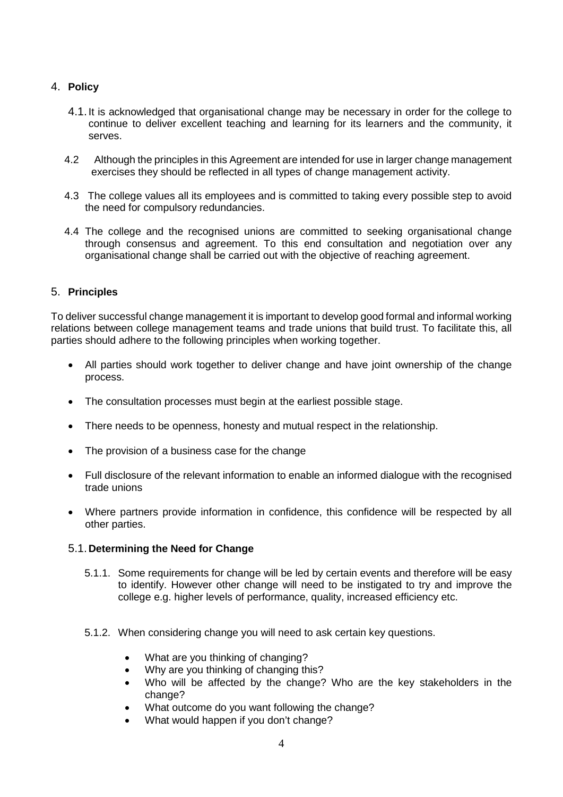### 4. **Policy**

- 4.1.It is acknowledged that organisational change may be necessary in order for the college to continue to deliver excellent teaching and learning for its learners and the community, it serves.
- 4.2 Although the principles in this Agreement are intended for use in larger change management exercises they should be reflected in all types of change management activity.
- 4.3 The college values all its employees and is committed to taking every possible step to avoid the need for compulsory redundancies.
- 4.4 The college and the recognised unions are committed to seeking organisational change through consensus and agreement. To this end consultation and negotiation over any organisational change shall be carried out with the objective of reaching agreement.

#### 5. **Principles**

To deliver successful change management it is important to develop good formal and informal working relations between college management teams and trade unions that build trust. To facilitate this, all parties should adhere to the following principles when working together.

- All parties should work together to deliver change and have joint ownership of the change process.
- The consultation processes must begin at the earliest possible stage.
- There needs to be openness, honesty and mutual respect in the relationship.
- The provision of a business case for the change
- Full disclosure of the relevant information to enable an informed dialogue with the recognised trade unions
- Where partners provide information in confidence, this confidence will be respected by all other parties.

#### 5.1.**Determining the Need for Change**

- 5.1.1. Some requirements for change will be led by certain events and therefore will be easy to identify. However other change will need to be instigated to try and improve the college e.g. higher levels of performance, quality, increased efficiency etc.
- 5.1.2. When considering change you will need to ask certain key questions.
	- What are you thinking of changing?
	- Why are you thinking of changing this?
	- Who will be affected by the change? Who are the key stakeholders in the change?
	- What outcome do you want following the change?
	- What would happen if you don't change?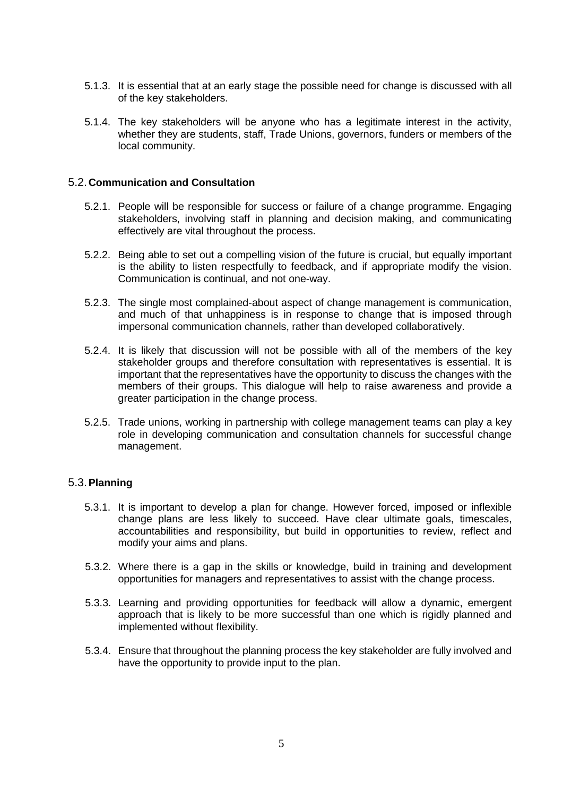- 5.1.3. It is essential that at an early stage the possible need for change is discussed with all of the key stakeholders.
- 5.1.4. The key stakeholders will be anyone who has a legitimate interest in the activity, whether they are students, staff, Trade Unions, governors, funders or members of the local community.

#### 5.2.**Communication and Consultation**

- 5.2.1. People will be responsible for success or failure of a change programme. Engaging stakeholders, involving staff in planning and decision making, and communicating effectively are vital throughout the process.
- 5.2.2. Being able to set out a compelling vision of the future is crucial, but equally important is the ability to listen respectfully to feedback, and if appropriate modify the vision. Communication is continual, and not one-way.
- 5.2.3. The single most complained-about aspect of change management is communication, and much of that unhappiness is in response to change that is imposed through impersonal communication channels, rather than developed collaboratively.
- 5.2.4. It is likely that discussion will not be possible with all of the members of the key stakeholder groups and therefore consultation with representatives is essential. It is important that the representatives have the opportunity to discuss the changes with the members of their groups. This dialogue will help to raise awareness and provide a greater participation in the change process.
- 5.2.5. Trade unions, working in partnership with college management teams can play a key role in developing communication and consultation channels for successful change management.

#### 5.3.**Planning**

- 5.3.1. It is important to develop a plan for change. However forced, imposed or inflexible change plans are less likely to succeed. Have clear ultimate goals, timescales, accountabilities and responsibility, but build in opportunities to review, reflect and modify your aims and plans.
- 5.3.2. Where there is a gap in the skills or knowledge, build in training and development opportunities for managers and representatives to assist with the change process.
- 5.3.3. Learning and providing opportunities for feedback will allow a dynamic, emergent approach that is likely to be more successful than one which is rigidly planned and implemented without flexibility.
- 5.3.4. Ensure that throughout the planning process the key stakeholder are fully involved and have the opportunity to provide input to the plan.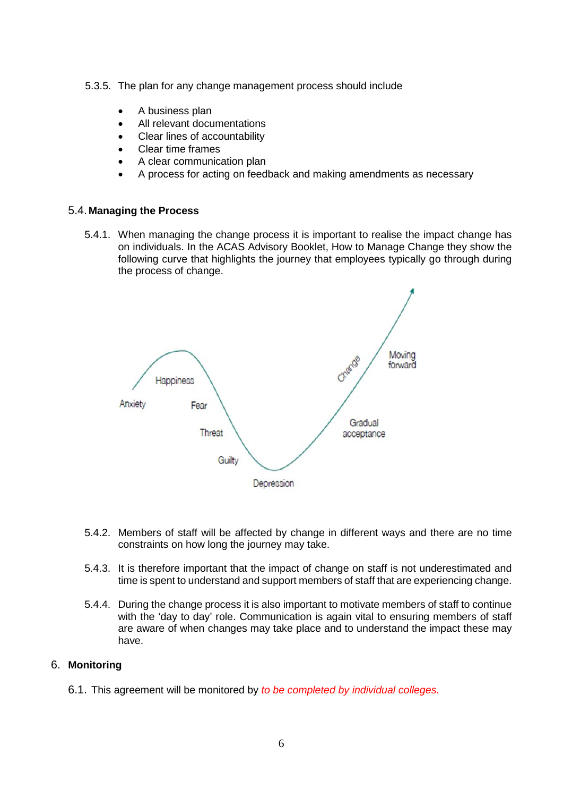- 5.3.5. The plan for any change management process should include
	- A business plan
	- All relevant documentations
	- Clear lines of accountability
	- Clear time frames
	- A clear communication plan
	- A process for acting on feedback and making amendments as necessary

#### 5.4.**Managing the Process**

5.4.1. When managing the change process it is important to realise the impact change has on individuals. In the ACAS Advisory Booklet, How to Manage Change they show the following curve that highlights the journey that employees typically go through during the process of change.



- 5.4.2. Members of staff will be affected by change in different ways and there are no time constraints on how long the journey may take.
- 5.4.3. It is therefore important that the impact of change on staff is not underestimated and time is spent to understand and support members of staff that are experiencing change.
- 5.4.4. During the change process it is also important to motivate members of staff to continue with the 'day to day' role. Communication is again vital to ensuring members of staff are aware of when changes may take place and to understand the impact these may have.

#### 6. **Monitoring**

6.1. This agreement will be monitored by *to be completed by individual colleges.*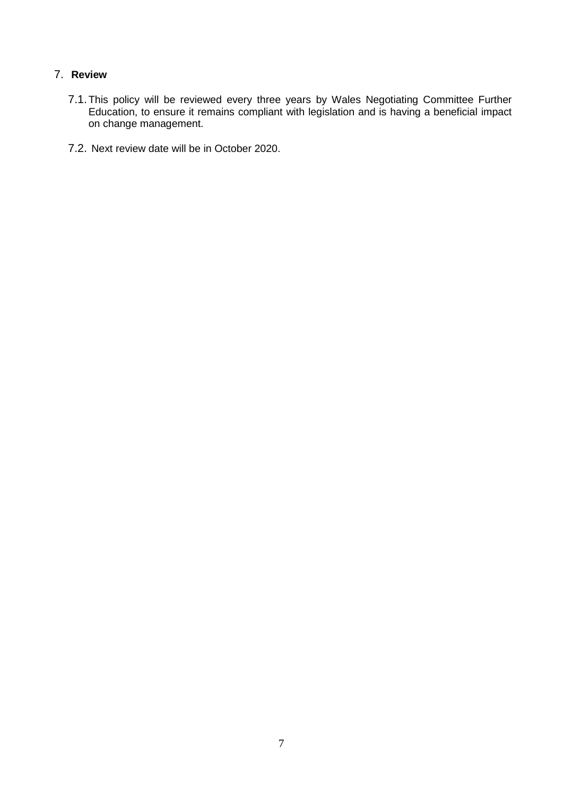## 7. **Review**

- 7.1.This policy will be reviewed every three years by Wales Negotiating Committee Further Education, to ensure it remains compliant with legislation and is having a beneficial impact on change management.
- 7.2. Next review date will be in October 2020.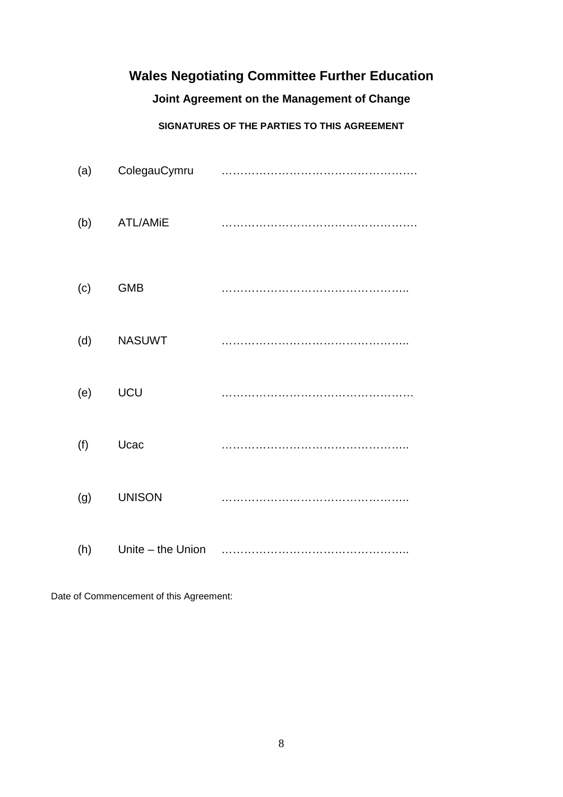# **Wales Negotiating Committee Further Education**

# **Joint Agreement on the Management of Change**

# **SIGNATURES OF THE PARTIES TO THIS AGREEMENT**

| (a) | ColegauCymru      |  |
|-----|-------------------|--|
| (b) | <b>ATL/AMiE</b>   |  |
| (c) | <b>GMB</b>        |  |
| (d) | <b>NASUWT</b>     |  |
| (e) | UCU               |  |
| (f) | Ucac              |  |
| (g) | <b>UNISON</b>     |  |
| (h) | Unite - the Union |  |

Date of Commencement of this Agreement: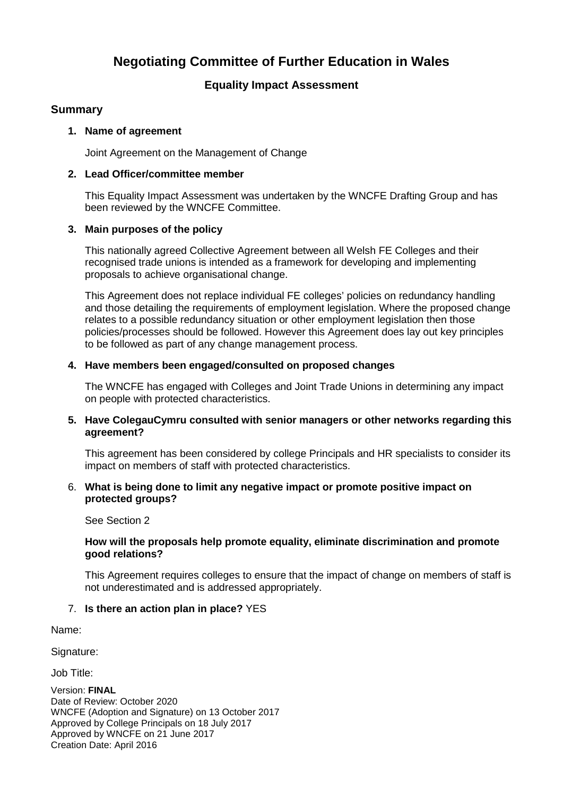# **Negotiating Committee of Further Education in Wales**

## **Equality Impact Assessment**

## **Summary**

#### **1. Name of agreement**

Joint Agreement on the Management of Change

#### **2. Lead Officer/committee member**

This Equality Impact Assessment was undertaken by the WNCFE Drafting Group and has been reviewed by the WNCFE Committee.

#### **3. Main purposes of the policy**

This nationally agreed Collective Agreement between all Welsh FE Colleges and their recognised trade unions is intended as a framework for developing and implementing proposals to achieve organisational change.

This Agreement does not replace individual FE colleges' policies on redundancy handling and those detailing the requirements of employment legislation. Where the proposed change relates to a possible redundancy situation or other employment legislation then those policies/processes should be followed. However this Agreement does lay out key principles to be followed as part of any change management process.

#### **4. Have members been engaged/consulted on proposed changes**

The WNCFE has engaged with Colleges and Joint Trade Unions in determining any impact on people with protected characteristics.

#### **5. Have ColegauCymru consulted with senior managers or other networks regarding this agreement?**

This agreement has been considered by college Principals and HR specialists to consider its impact on members of staff with protected characteristics.

#### 6. **What is being done to limit any negative impact or promote positive impact on protected groups?**

#### See Section 2

#### **How will the proposals help promote equality, eliminate discrimination and promote good relations?**

This Agreement requires colleges to ensure that the impact of change on members of staff is not underestimated and is addressed appropriately.

#### 7. **Is there an action plan in place?** YES

Name:

Signature:

Job Title:

Version: **FINAL**  Date of Review: October 2020 WNCFE (Adoption and Signature) on 13 October 2017 Approved by College Principals on 18 July 2017 Approved by WNCFE on 21 June 2017 Creation Date: April 2016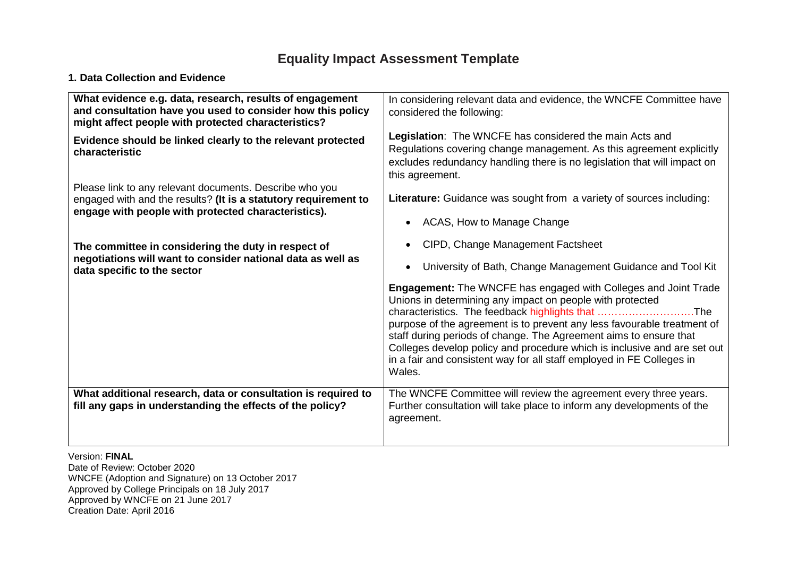# **Equality Impact Assessment Template**

### **1. Data Collection and Evidence**

| What evidence e.g. data, research, results of engagement<br>and consultation have you used to consider how this policy<br>might affect people with protected characteristics?     | In considering relevant data and evidence, the WNCFE Committee have<br>considered the following:                                                                                                                                                                                                                                                                                                                                                                                                        |
|-----------------------------------------------------------------------------------------------------------------------------------------------------------------------------------|---------------------------------------------------------------------------------------------------------------------------------------------------------------------------------------------------------------------------------------------------------------------------------------------------------------------------------------------------------------------------------------------------------------------------------------------------------------------------------------------------------|
| Evidence should be linked clearly to the relevant protected<br>characteristic                                                                                                     | Legislation: The WNCFE has considered the main Acts and<br>Regulations covering change management. As this agreement explicitly<br>excludes redundancy handling there is no legislation that will impact on<br>this agreement.                                                                                                                                                                                                                                                                          |
| Please link to any relevant documents. Describe who you<br>engaged with and the results? (It is a statutory requirement to<br>engage with people with protected characteristics). | Literature: Guidance was sought from a variety of sources including:<br>ACAS, How to Manage Change<br>$\bullet$                                                                                                                                                                                                                                                                                                                                                                                         |
| The committee in considering the duty in respect of<br>negotiations will want to consider national data as well as<br>data specific to the sector                                 | CIPD, Change Management Factsheet<br>$\bullet$<br>University of Bath, Change Management Guidance and Tool Kit<br>$\bullet$                                                                                                                                                                                                                                                                                                                                                                              |
|                                                                                                                                                                                   | <b>Engagement:</b> The WNCFE has engaged with Colleges and Joint Trade<br>Unions in determining any impact on people with protected<br>characteristics. The feedback highlights that The<br>purpose of the agreement is to prevent any less favourable treatment of<br>staff during periods of change. The Agreement aims to ensure that<br>Colleges develop policy and procedure which is inclusive and are set out<br>in a fair and consistent way for all staff employed in FE Colleges in<br>Wales. |
| What additional research, data or consultation is required to<br>fill any gaps in understanding the effects of the policy?                                                        | The WNCFE Committee will review the agreement every three years.<br>Further consultation will take place to inform any developments of the<br>agreement.                                                                                                                                                                                                                                                                                                                                                |
| Version: FINAL                                                                                                                                                                    |                                                                                                                                                                                                                                                                                                                                                                                                                                                                                                         |

Date of Review: October 2020 WNCFE (Adoption and Signature) on 13 October 2017 Approved by College Principals on 18 July 2017 Approved by WNCFE on 21 June 2017 Creation Date: April 2016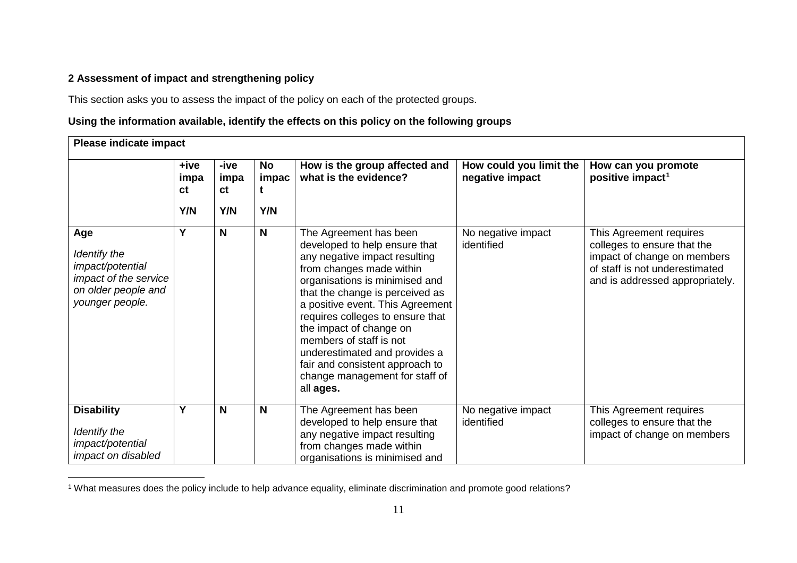## <span id="page-10-0"></span>**2 Assessment of impact and strengthening policy**

 $\overline{a}$ 

This section asks you to assess the impact of the policy on each of the protected groups.

## **Using the information available, identify the effects on this policy on the following groups**

| <b>Please indicate impact</b>                                                                              |                           |                           |                    |                                                                                                                                                                                                                                                                                                                                                                                                                                            |                                            |                                                                                                                                                            |  |
|------------------------------------------------------------------------------------------------------------|---------------------------|---------------------------|--------------------|--------------------------------------------------------------------------------------------------------------------------------------------------------------------------------------------------------------------------------------------------------------------------------------------------------------------------------------------------------------------------------------------------------------------------------------------|--------------------------------------------|------------------------------------------------------------------------------------------------------------------------------------------------------------|--|
|                                                                                                            | +ive<br>impa<br>сt<br>Y/N | -ive<br>impa<br>ct<br>Y/N | No<br>impac<br>Y/N | How is the group affected and<br>what is the evidence?                                                                                                                                                                                                                                                                                                                                                                                     | How could you limit the<br>negative impact | How can you promote<br>positive impact <sup>1</sup>                                                                                                        |  |
| Age<br>Identify the<br>impact/potential<br>impact of the service<br>on older people and<br>younger people. | Y                         | Ν                         | N                  | The Agreement has been<br>developed to help ensure that<br>any negative impact resulting<br>from changes made within<br>organisations is minimised and<br>that the change is perceived as<br>a positive event. This Agreement<br>requires colleges to ensure that<br>the impact of change on<br>members of staff is not<br>underestimated and provides a<br>fair and consistent approach to<br>change management for staff of<br>all ages. | No negative impact<br>identified           | This Agreement requires<br>colleges to ensure that the<br>impact of change on members<br>of staff is not underestimated<br>and is addressed appropriately. |  |
| <b>Disability</b><br>Identify the<br>impact/potential<br>impact on disabled                                | Y                         | N                         | N                  | The Agreement has been<br>developed to help ensure that<br>any negative impact resulting<br>from changes made within<br>organisations is minimised and                                                                                                                                                                                                                                                                                     | No negative impact<br>identified           | This Agreement requires<br>colleges to ensure that the<br>impact of change on members                                                                      |  |

 $^{\rm 1}$  What measures does the policy include to help advance equality, eliminate discrimination and promote good relations?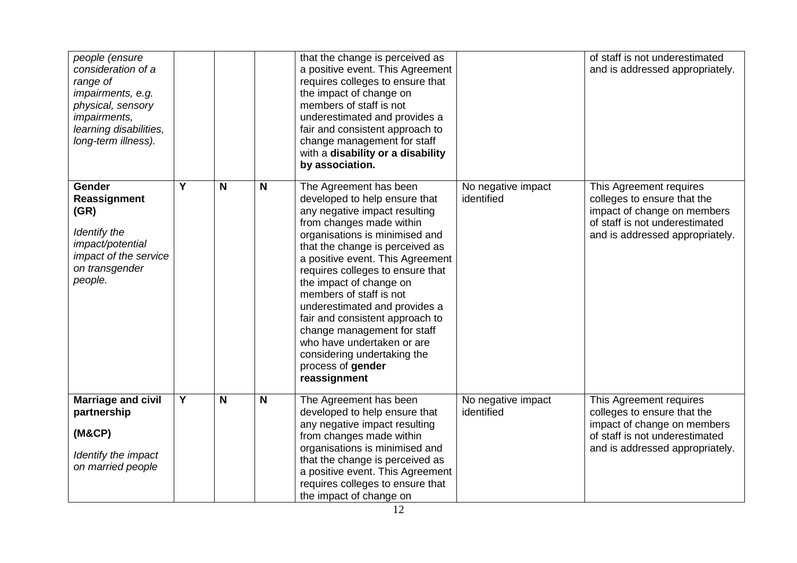| people (ensure<br>consideration of a<br>range of<br>impairments, e.g.<br>physical, sensory<br><i>impairments,</i><br>learning disabilities,<br>long-term illness). |                         |   |                         | that the change is perceived as<br>a positive event. This Agreement<br>requires colleges to ensure that<br>the impact of change on<br>members of staff is not<br>underestimated and provides a<br>fair and consistent approach to<br>change management for staff<br>with a disability or a disability<br>by association.                                                                                                                                                                                                     |                                  | of staff is not underestimated<br>and is addressed appropriately.                                                                                          |
|--------------------------------------------------------------------------------------------------------------------------------------------------------------------|-------------------------|---|-------------------------|------------------------------------------------------------------------------------------------------------------------------------------------------------------------------------------------------------------------------------------------------------------------------------------------------------------------------------------------------------------------------------------------------------------------------------------------------------------------------------------------------------------------------|----------------------------------|------------------------------------------------------------------------------------------------------------------------------------------------------------|
| <b>Gender</b><br>Reassignment<br>(GR)<br>Identify the<br>impact/potential<br>impact of the service<br>on transgender<br>people.                                    | Y                       | N | $\overline{\mathsf{N}}$ | The Agreement has been<br>developed to help ensure that<br>any negative impact resulting<br>from changes made within<br>organisations is minimised and<br>that the change is perceived as<br>a positive event. This Agreement<br>requires colleges to ensure that<br>the impact of change on<br>members of staff is not<br>underestimated and provides a<br>fair and consistent approach to<br>change management for staff<br>who have undertaken or are<br>considering undertaking the<br>process of gender<br>reassignment | No negative impact<br>identified | This Agreement requires<br>colleges to ensure that the<br>impact of change on members<br>of staff is not underestimated<br>and is addressed appropriately. |
| <b>Marriage and civil</b><br>partnership<br>(M&CP)<br>Identify the impact<br>on married people                                                                     | $\overline{\mathsf{Y}}$ | N | N                       | The Agreement has been<br>developed to help ensure that<br>any negative impact resulting<br>from changes made within<br>organisations is minimised and<br>that the change is perceived as<br>a positive event. This Agreement<br>requires colleges to ensure that<br>the impact of change on                                                                                                                                                                                                                                 | No negative impact<br>identified | This Agreement requires<br>colleges to ensure that the<br>impact of change on members<br>of staff is not underestimated<br>and is addressed appropriately. |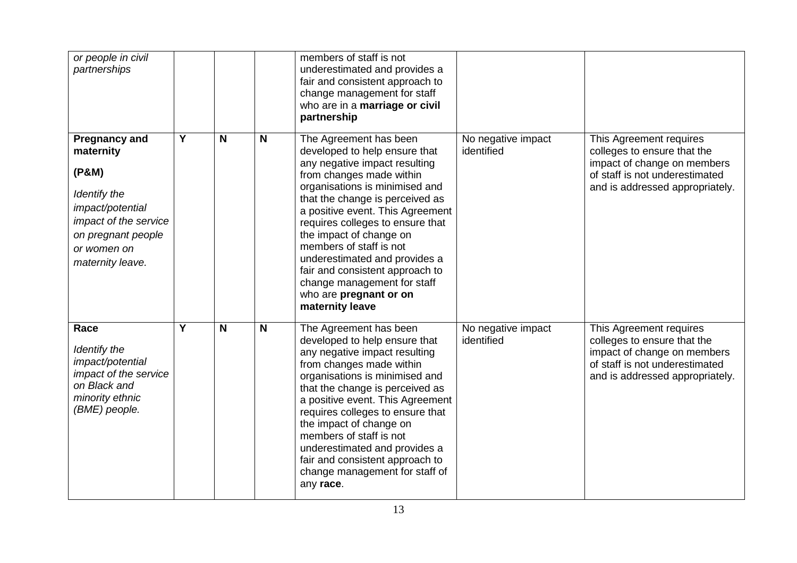| or people in civil<br>partnerships                                                                                                                               |                |   |             | members of staff is not<br>underestimated and provides a<br>fair and consistent approach to<br>change management for staff<br>who are in a marriage or civil<br>partnership                                                                                                                                                                                                                                                                                             |                                  |                                                                                                                                                            |
|------------------------------------------------------------------------------------------------------------------------------------------------------------------|----------------|---|-------------|-------------------------------------------------------------------------------------------------------------------------------------------------------------------------------------------------------------------------------------------------------------------------------------------------------------------------------------------------------------------------------------------------------------------------------------------------------------------------|----------------------------------|------------------------------------------------------------------------------------------------------------------------------------------------------------|
| <b>Pregnancy and</b><br>maternity<br>(P&M)<br>Identify the<br>impact/potential<br>impact of the service<br>on pregnant people<br>or women on<br>maternity leave. | $\overline{Y}$ | N | $\mathbf N$ | The Agreement has been<br>developed to help ensure that<br>any negative impact resulting<br>from changes made within<br>organisations is minimised and<br>that the change is perceived as<br>a positive event. This Agreement<br>requires colleges to ensure that<br>the impact of change on<br>members of staff is not<br>underestimated and provides a<br>fair and consistent approach to<br>change management for staff<br>who are pregnant or on<br>maternity leave | No negative impact<br>identified | This Agreement requires<br>colleges to ensure that the<br>impact of change on members<br>of staff is not underestimated<br>and is addressed appropriately. |
| Race<br>Identify the<br>impact/potential<br>impact of the service<br>on Black and<br>minority ethnic<br>(BME) people.                                            | Y              | N | N           | The Agreement has been<br>developed to help ensure that<br>any negative impact resulting<br>from changes made within<br>organisations is minimised and<br>that the change is perceived as<br>a positive event. This Agreement<br>requires colleges to ensure that<br>the impact of change on<br>members of staff is not<br>underestimated and provides a<br>fair and consistent approach to<br>change management for staff of<br>any race.                              | No negative impact<br>identified | This Agreement requires<br>colleges to ensure that the<br>impact of change on members<br>of staff is not underestimated<br>and is addressed appropriately. |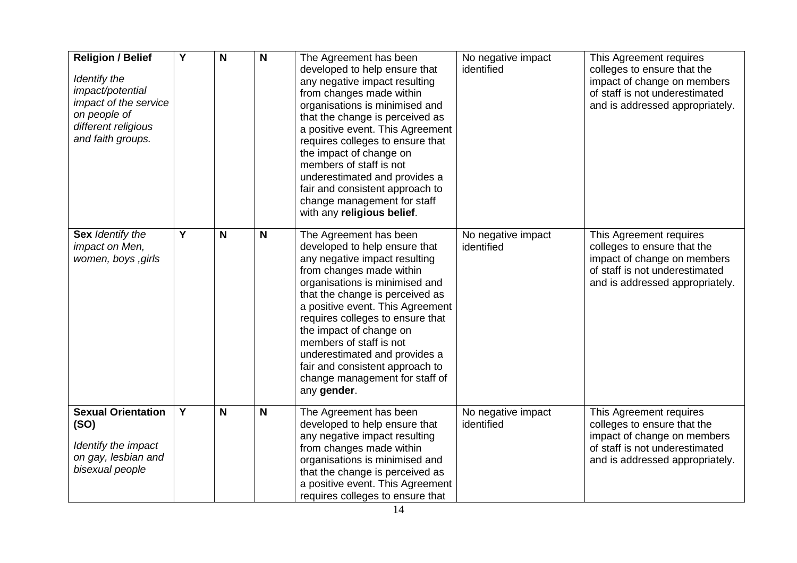| <b>Religion / Belief</b><br>Identify the<br>impact/potential<br>impact of the service<br>on people of<br>different religious<br>and faith groups. | Y                       | N | N | The Agreement has been<br>developed to help ensure that<br>any negative impact resulting<br>from changes made within<br>organisations is minimised and<br>that the change is perceived as<br>a positive event. This Agreement<br>requires colleges to ensure that<br>the impact of change on<br>members of staff is not<br>underestimated and provides a<br>fair and consistent approach to<br>change management for staff<br>with any religious belief. | No negative impact<br>identified | This Agreement requires<br>colleges to ensure that the<br>impact of change on members<br>of staff is not underestimated<br>and is addressed appropriately. |
|---------------------------------------------------------------------------------------------------------------------------------------------------|-------------------------|---|---|----------------------------------------------------------------------------------------------------------------------------------------------------------------------------------------------------------------------------------------------------------------------------------------------------------------------------------------------------------------------------------------------------------------------------------------------------------|----------------------------------|------------------------------------------------------------------------------------------------------------------------------------------------------------|
| Sex Identify the<br>impact on Men,<br>women, boys , girls                                                                                         | $\overline{\mathsf{Y}}$ | N | N | The Agreement has been<br>developed to help ensure that<br>any negative impact resulting<br>from changes made within<br>organisations is minimised and<br>that the change is perceived as<br>a positive event. This Agreement<br>requires colleges to ensure that<br>the impact of change on<br>members of staff is not<br>underestimated and provides a<br>fair and consistent approach to<br>change management for staff of<br>any gender.             | No negative impact<br>identified | This Agreement requires<br>colleges to ensure that the<br>impact of change on members<br>of staff is not underestimated<br>and is addressed appropriately. |
| <b>Sexual Orientation</b><br>(SO)<br>Identify the impact<br>on gay, lesbian and<br>bisexual people                                                | Y                       | N | N | The Agreement has been<br>developed to help ensure that<br>any negative impact resulting<br>from changes made within<br>organisations is minimised and<br>that the change is perceived as<br>a positive event. This Agreement<br>requires colleges to ensure that                                                                                                                                                                                        | No negative impact<br>identified | This Agreement requires<br>colleges to ensure that the<br>impact of change on members<br>of staff is not underestimated<br>and is addressed appropriately. |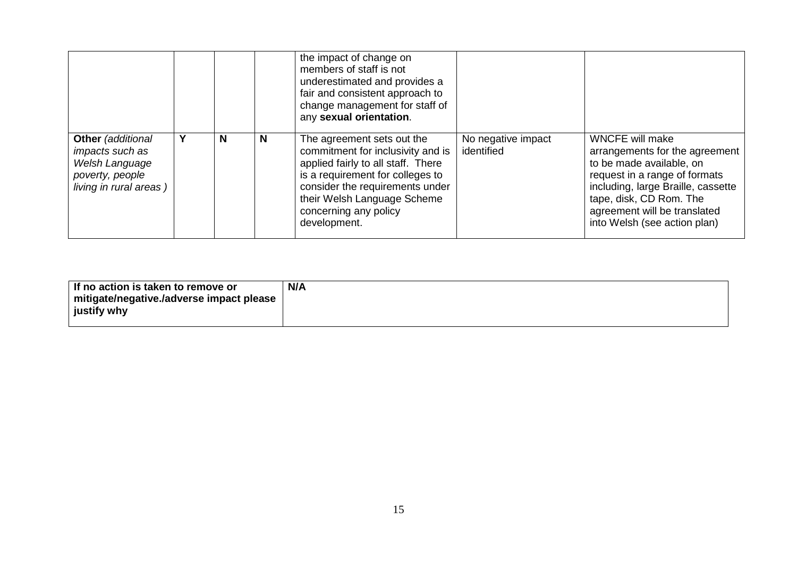|                                                                                                     |   |   | the impact of change on<br>members of staff is not<br>underestimated and provides a<br>fair and consistent approach to<br>change management for staff of<br>any sexual orientation.                                                                  |                                  |                                                                                                                                                                                                                                                        |
|-----------------------------------------------------------------------------------------------------|---|---|------------------------------------------------------------------------------------------------------------------------------------------------------------------------------------------------------------------------------------------------------|----------------------------------|--------------------------------------------------------------------------------------------------------------------------------------------------------------------------------------------------------------------------------------------------------|
| Other (additional<br>impacts such as<br>Welsh Language<br>poverty, people<br>living in rural areas) | N | N | The agreement sets out the<br>commitment for inclusivity and is<br>applied fairly to all staff. There<br>is a requirement for colleges to<br>consider the requirements under<br>their Welsh Language Scheme<br>concerning any policy<br>development. | No negative impact<br>identified | <b>WNCFE will make</b><br>arrangements for the agreement<br>to be made available, on<br>request in a range of formats<br>including, large Braille, cassette<br>tape, disk, CD Rom. The<br>agreement will be translated<br>into Welsh (see action plan) |

| If no action is taken to remove or       | N/A |
|------------------------------------------|-----|
| mitigate/negative./adverse impact please |     |
| justify why                              |     |
|                                          |     |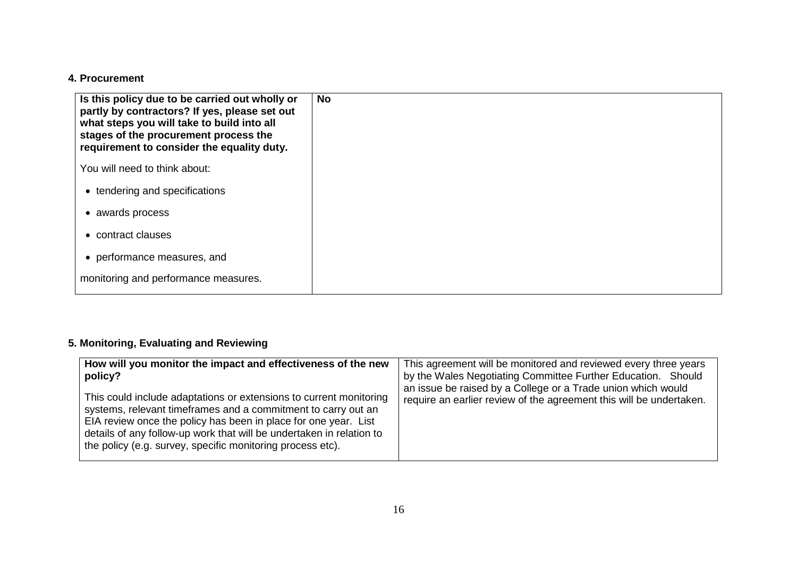### **4. Procurement**

| Is this policy due to be carried out wholly or<br>partly by contractors? If yes, please set out<br>what steps you will take to build into all<br>stages of the procurement process the<br>requirement to consider the equality duty. | No. |
|--------------------------------------------------------------------------------------------------------------------------------------------------------------------------------------------------------------------------------------|-----|
| You will need to think about:                                                                                                                                                                                                        |     |
| • tendering and specifications                                                                                                                                                                                                       |     |
| awards process<br>$\bullet$                                                                                                                                                                                                          |     |
| contract clauses<br>$\bullet$                                                                                                                                                                                                        |     |
| • performance measures, and                                                                                                                                                                                                          |     |
| monitoring and performance measures.                                                                                                                                                                                                 |     |

# **5. Monitoring, Evaluating and Reviewing**

| How will you monitor the impact and effectiveness of the new<br>policy?<br>This could include adaptations or extensions to current monitoring<br>systems, relevant timeframes and a commitment to carry out an<br>EIA review once the policy has been in place for one year. List<br>details of any follow-up work that will be undertaken in relation to<br>the policy (e.g. survey, specific monitoring process etc). | This agreement will be monitored and reviewed every three years<br>by the Wales Negotiating Committee Further Education. Should<br>an issue be raised by a College or a Trade union which would<br>require an earlier review of the agreement this will be undertaken. |
|-------------------------------------------------------------------------------------------------------------------------------------------------------------------------------------------------------------------------------------------------------------------------------------------------------------------------------------------------------------------------------------------------------------------------|------------------------------------------------------------------------------------------------------------------------------------------------------------------------------------------------------------------------------------------------------------------------|
|-------------------------------------------------------------------------------------------------------------------------------------------------------------------------------------------------------------------------------------------------------------------------------------------------------------------------------------------------------------------------------------------------------------------------|------------------------------------------------------------------------------------------------------------------------------------------------------------------------------------------------------------------------------------------------------------------------|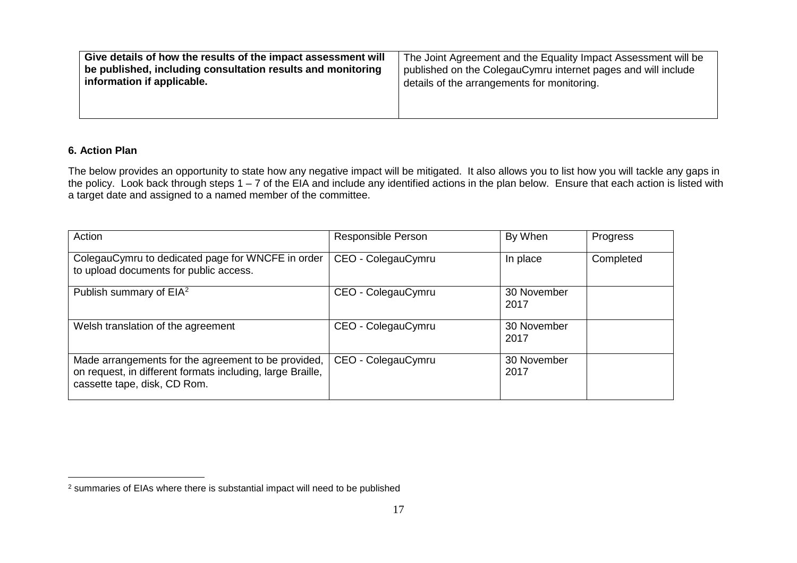<span id="page-16-0"></span>

| Give details of how the results of the impact assessment will | The Joint Agreement and the Equality Impact Assessment will be |
|---------------------------------------------------------------|----------------------------------------------------------------|
| be published, including consultation results and monitoring   | published on the ColegauCymru internet pages and will include  |
| information if applicable.                                    | details of the arrangements for monitoring.                    |
|                                                               |                                                                |

#### **6. Action Plan**

 $\overline{a}$ 

The below provides an opportunity to state how any negative impact will be mitigated. It also allows you to list how you will tackle any gaps in the policy. Look back through steps 1 – 7 of the EIA and include any identified actions in the plan below. Ensure that each action is listed with a target date and assigned to a named member of the committee.

| Action                                                                                                                                            | Responsible Person | By When             | Progress  |
|---------------------------------------------------------------------------------------------------------------------------------------------------|--------------------|---------------------|-----------|
| ColegauCymru to dedicated page for WNCFE in order<br>to upload documents for public access.                                                       | CEO - ColegauCymru | In place            | Completed |
| Publish summary of EIA <sup>2</sup>                                                                                                               | CEO - ColegauCymru | 30 November<br>2017 |           |
| Welsh translation of the agreement                                                                                                                | CEO - ColegauCymru | 30 November<br>2017 |           |
| Made arrangements for the agreement to be provided,<br>on request, in different formats including, large Braille,<br>cassette tape, disk, CD Rom. | CEO - ColegauCymru | 30 November<br>2017 |           |

 $^2$  summaries of EIAs where there is substantial impact will need to be published